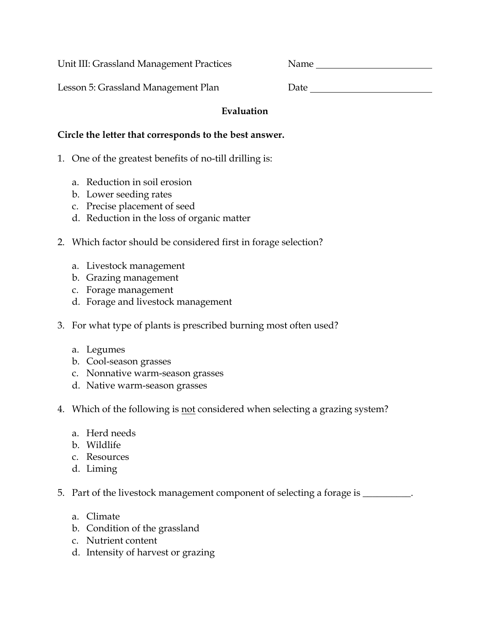Unit III: Grassland Management Practices Name

Lesson 5: Grassland Management Plan D

| )ate |  |  |
|------|--|--|
|      |  |  |

## **Evaluation**

## **Circle the letter that corresponds to the best answer.**

- 1. One of the greatest benefits of no-till drilling is:
	- a. Reduction in soil erosion
	- b. Lower seeding rates
	- c. Precise placement of seed
	- d. Reduction in the loss of organic matter
- 2. Which factor should be considered first in forage selection?
	- a. Livestock management
	- b. Grazing management
	- c. Forage management
	- d. Forage and livestock management
- 3. For what type of plants is prescribed burning most often used?
	- a. Legumes
	- b. Cool-season grasses
	- c. Nonnative warm-season grasses
	- d. Native warm-season grasses
- 4. Which of the following is not considered when selecting a grazing system?
	- a. Herd needs
	- b. Wildlife
	- c. Resources
	- d. Liming
- 5. Part of the livestock management component of selecting a forage is \_\_\_\_\_\_\_\_\_.
	- a. Climate
	- b. Condition of the grassland
	- c. Nutrient content
	- d. Intensity of harvest or grazing